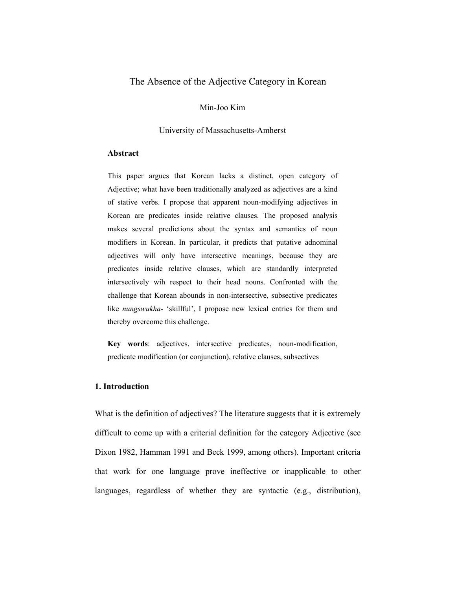# The Absence of the Adjective Category in Korean

Min-Joo Kim

University of Massachusetts-Amherst

#### **Abstract**

This paper argues that Korean lacks a distinct, open category of Adjective; what have been traditionally analyzed as adjectives are a kind of stative verbs. I propose that apparent noun-modifying adjectives in Korean are predicates inside relative clauses. The proposed analysis makes several predictions about the syntax and semantics of noun modifiers in Korean. In particular, it predicts that putative adnominal adjectives will only have intersective meanings, because they are predicates inside relative clauses, which are standardly interpreted intersectively wih respect to their head nouns. Confronted with the challenge that Korean abounds in non-intersective, subsective predicates like *nungswukha*- 'skillful', I propose new lexical entries for them and thereby overcome this challenge.

**Key words**: adjectives, intersective predicates, noun-modification, predicate modification (or conjunction), relative clauses, subsectives

# **1. Introduction**

What is the definition of adjectives? The literature suggests that it is extremely difficult to come up with a criterial definition for the category Adjective (see Dixon 1982, Hamman 1991 and Beck 1999, among others). Important criteria that work for one language prove ineffective or inapplicable to other languages, regardless of whether they are syntactic (e.g., distribution),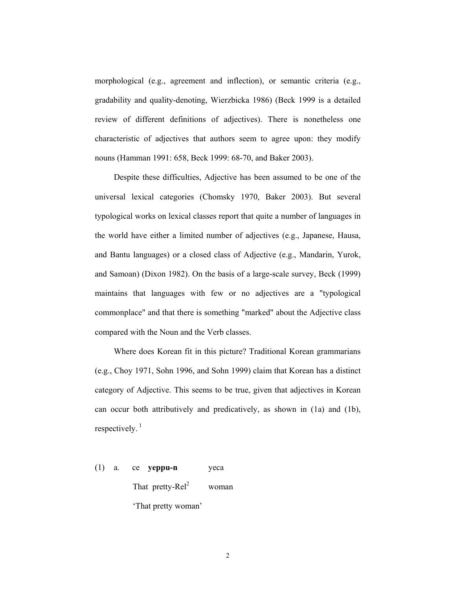morphological (e.g., agreement and inflection), or semantic criteria (e.g., gradability and quality-denoting, Wierzbicka 1986) (Beck 1999 is a detailed review of different definitions of adjectives). There is nonetheless one characteristic of adjectives that authors seem to agree upon: they modify nouns (Hamman 1991: 658, Beck 1999: 68-70, and Baker 2003).

 Despite these difficulties, Adjective has been assumed to be one of the universal lexical categories (Chomsky 1970, Baker 2003). But several typological works on lexical classes report that quite a number of languages in the world have either a limited number of adjectives (e.g., Japanese, Hausa, and Bantu languages) or a closed class of Adjective (e.g., Mandarin, Yurok, and Samoan) (Dixon 1982). On the basis of a large-scale survey, Beck (1999) maintains that languages with few or no adjectives are a "typological commonplace" and that there is something "marked" about the Adjective class compared with the Noun and the Verb classes.

 Where does Korean fit in this picture? Traditional Korean grammarians (e.g., Choy 1971, Sohn 1996, and Sohn 1999) claim that Korean has a distinct category of Adjective. This seems to be true, given that adjectives in Korean can occur both attributively and predicatively, as shown in (1a) and (1b), respectively. $1$ 

(1) a. ce **yeppu-n** yeca That pretty- $\text{Rel}^2$  woman 'That pretty woman'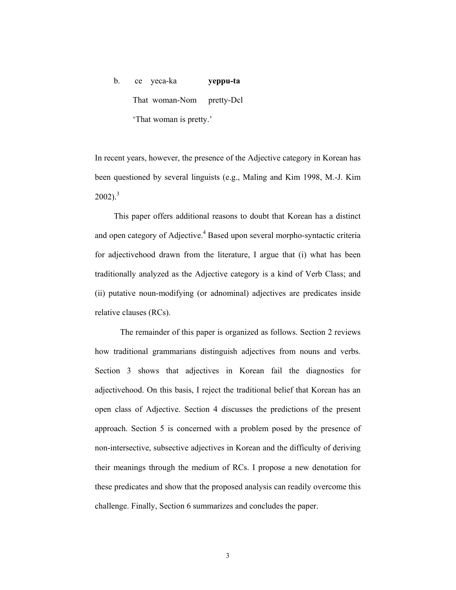# b. ce yeca-ka **yeppu-ta** That woman-Nom pretty-Dcl 'That woman is pretty.'

In recent years, however, the presence of the Adjective category in Korean has been questioned by several linguists (e.g., Maling and Kim 1998, M.-J. Kim  $2002$ ).<sup>3</sup>

 This paper offers additional reasons to doubt that Korean has a distinct and open category of Adjective.<sup>4</sup> Based upon several morpho-syntactic criteria for adjectivehood drawn from the literature, I argue that (i) what has been traditionally analyzed as the Adjective category is a kind of Verb Class; and (ii) putative noun-modifying (or adnominal) adjectives are predicates inside relative clauses (RCs).

The remainder of this paper is organized as follows. Section 2 reviews how traditional grammarians distinguish adjectives from nouns and verbs. Section 3 shows that adjectives in Korean fail the diagnostics for adjectivehood. On this basis, I reject the traditional belief that Korean has an open class of Adjective. Section 4 discusses the predictions of the present approach. Section 5 is concerned with a problem posed by the presence of non-intersective, subsective adjectives in Korean and the difficulty of deriving their meanings through the medium of RCs. I propose a new denotation for these predicates and show that the proposed analysis can readily overcome this challenge. Finally, Section 6 summarizes and concludes the paper.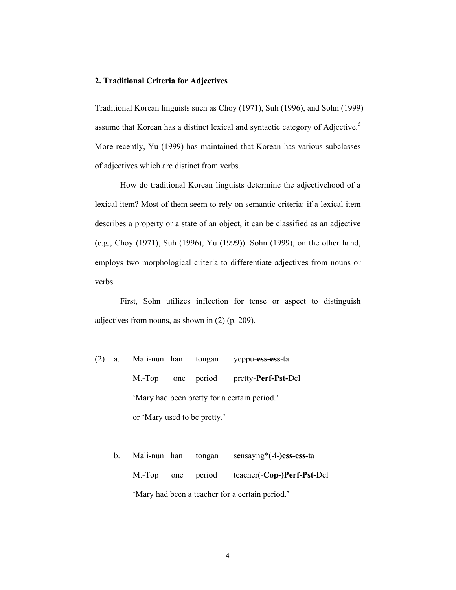#### **2. Traditional Criteria for Adjectives**

Traditional Korean linguists such as Choy (1971), Suh (1996), and Sohn (1999) assume that Korean has a distinct lexical and syntactic category of Adjective.<sup>5</sup> More recently, Yu (1999) has maintained that Korean has various subclasses of adjectives which are distinct from verbs.

How do traditional Korean linguists determine the adjectivehood of a lexical item? Most of them seem to rely on semantic criteria: if a lexical item describes a property or a state of an object, it can be classified as an adjective (e.g., Choy (1971), Suh (1996), Yu (1999)). Sohn (1999), on the other hand, employs two morphological criteria to differentiate adjectives from nouns or verbs.

First, Sohn utilizes inflection for tense or aspect to distinguish adjectives from nouns, as shown in (2) (p. 209).

- (2) a. Mali-nun han tongan yeppu-**ess-ess**-ta M.-Top one period pretty-**Perf-Pst-**Dcl 'Mary had been pretty for a certain period.' or 'Mary used to be pretty.'
	- b. Mali-nun han tongan sensayng\*(-**i-)ess-ess-**ta M.-Top one period teacher(-**Cop-)Perf-Pst-**Dcl 'Mary had been a teacher for a certain period.'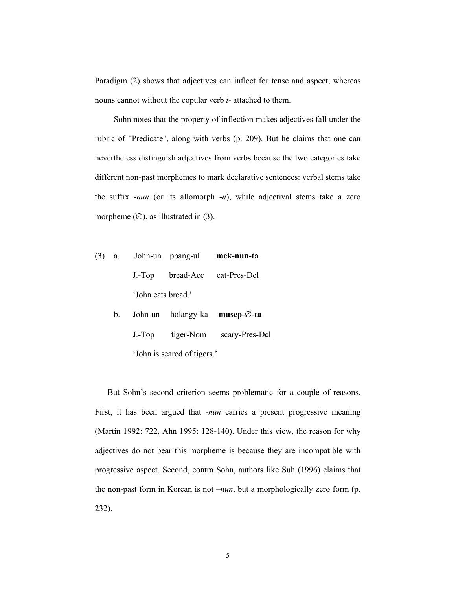Paradigm (2) shows that adjectives can inflect for tense and aspect, whereas nouns cannot without the copular verb *i*- attached to them.

 Sohn notes that the property of inflection makes adjectives fall under the rubric of "Predicate", along with verbs (p. 209). But he claims that one can nevertheless distinguish adjectives from verbs because the two categories take different non-past morphemes to mark declarative sentences: verbal stems take the suffix -*nun* (or its allomorph -*n*), while adjectival stems take a zero morpheme  $(\emptyset)$ , as illustrated in (3).

- (3) a. John-un ppang-ul **mek-nun-ta**  J.-Top bread-Acc eat-Pres-Dcl 'John eats bread.'
	- b. John-un holangy-ka **musep-**∅**-ta**  J.-Top tiger-Nom scary-Pres-Dcl 'John is scared of tigers.'

 But Sohn's second criterion seems problematic for a couple of reasons. First, it has been argued that -*nun* carries a present progressive meaning (Martin 1992: 722, Ahn 1995: 128-140). Under this view, the reason for why adjectives do not bear this morpheme is because they are incompatible with progressive aspect. Second, contra Sohn, authors like Suh (1996) claims that the non-past form in Korean is not –*nun*, but a morphologically zero form (p. 232).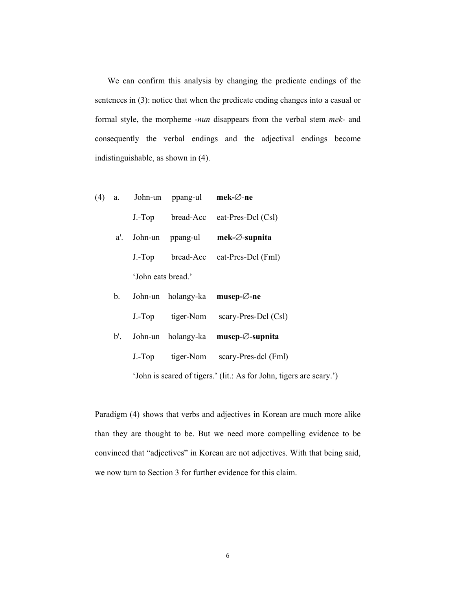We can confirm this analysis by changing the predicate endings of the sentences in (3): notice that when the predicate ending changes into a casual or formal style, the morpheme -*nun* disappears from the verbal stem *mek*- and consequently the verbal endings and the adjectival endings become indistinguishable, as shown in (4).

|  |                    | (4) a. John-un ppang-ul <b>mek-</b> $\varnothing$ -ne |                              |
|--|--------------------|-------------------------------------------------------|------------------------------|
|  | $J.-Top$           |                                                       | bread-Acc eat-Pres-Dcl (Csl) |
|  |                    | a'. John-un ppang-ul                                  | $mek-Ø-supnita$              |
|  | $J.-Top$           |                                                       | bread-Acc eat-Pres-Dcl (Fml) |
|  | 'John eats bread.' |                                                       |                              |
|  |                    |                                                       |                              |

| $b_{-}$ |          |           | John-un holangy-ka <b>musep-<math>\varnothing</math>-ne</b>         |
|---------|----------|-----------|---------------------------------------------------------------------|
|         | $J.-Top$ | tiger-Nom | scary-Pres-Dcl (Csl)                                                |
|         |          |           | b'. John-un holangy-ka musep- $\emptyset$ -supnita                  |
|         | $J.-Top$ | tiger-Nom | scary-Pres-dcl (Fml)                                                |
|         |          |           | 'John is scared of tigers.' (lit.: As for John, tigers are scary.') |

Paradigm (4) shows that verbs and adjectives in Korean are much more alike than they are thought to be. But we need more compelling evidence to be convinced that "adjectives" in Korean are not adjectives. With that being said, we now turn to Section 3 for further evidence for this claim.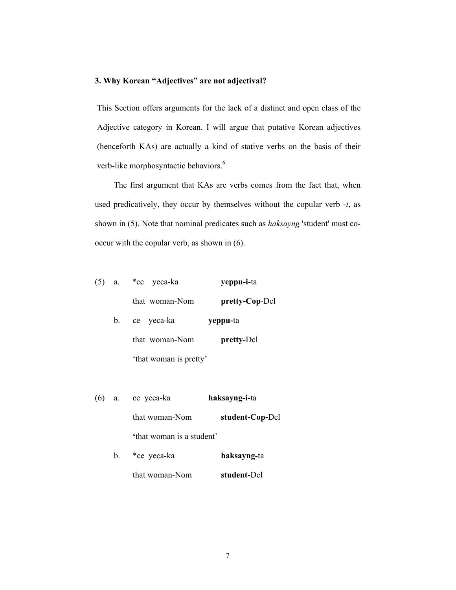# **3. Why Korean "Adjectives" are not adjectival?**

This Section offers arguments for the lack of a distinct and open class of the Adjective category in Korean. I will argue that putative Korean adjectives (henceforth KAs) are actually a kind of stative verbs on the basis of their verb-like morphosyntactic behaviors.<sup>6</sup>

 The first argument that KAs are verbs comes from the fact that, when used predicatively, they occur by themselves without the copular verb -*i*, as shown in (5). Note that nominal predicates such as *haksayng* 'student' must cooccur with the copular verb, as shown in (6).

| $(5)$ a. |    | *ce yeca-ka            | yeppu-i-ta        |
|----------|----|------------------------|-------------------|
|          |    | that woman-Nom         | pretty-Cop-Dcl    |
|          | b. | ce yeca-ka             | yeppu-ta          |
|          |    | that woman-Nom         | <b>pretty-Dcl</b> |
|          |    | 'that woman is pretty' |                   |

| $(6)$ a. | ce yeca-ka                | haksayng-i-ta   |
|----------|---------------------------|-----------------|
|          | that woman-Nom            | student-Cop-Dcl |
|          | 'that woman is a student' |                 |
| $b_{-}$  | *ce yeca-ka               | haksayng-ta     |
|          | that woman-Nom            | student-Dcl     |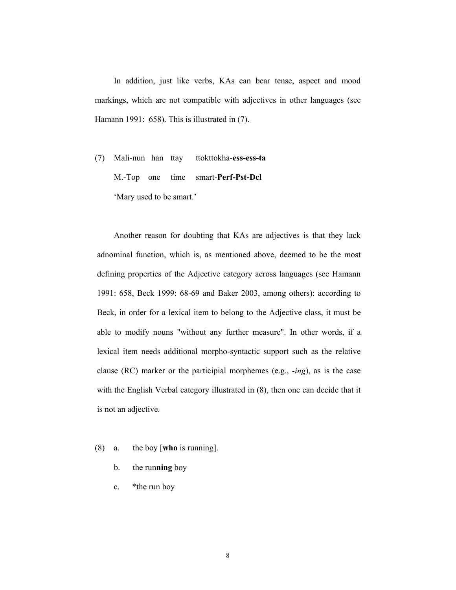In addition, just like verbs, KAs can bear tense, aspect and mood markings, which are not compatible with adjectives in other languages (see Hamann 1991: 658). This is illustrated in  $(7)$ .

(7) Mali-nun han ttay ttokttokha-**ess-ess-ta** M.-Top one time smart-**Perf-Pst-Dcl**  'Mary used to be smart.'

 Another reason for doubting that KAs are adjectives is that they lack adnominal function, which is, as mentioned above, deemed to be the most defining properties of the Adjective category across languages (see Hamann 1991: 658, Beck 1999: 68-69 and Baker 2003, among others): according to Beck, in order for a lexical item to belong to the Adjective class, it must be able to modify nouns "without any further measure". In other words, if a lexical item needs additional morpho-syntactic support such as the relative clause (RC) marker or the participial morphemes (e.g., -*ing*), as is the case with the English Verbal category illustrated in (8), then one can decide that it is not an adjective.

- (8) a. the boy [**who** is running].
	- b. the run**ning** boy
	- c. \*the run boy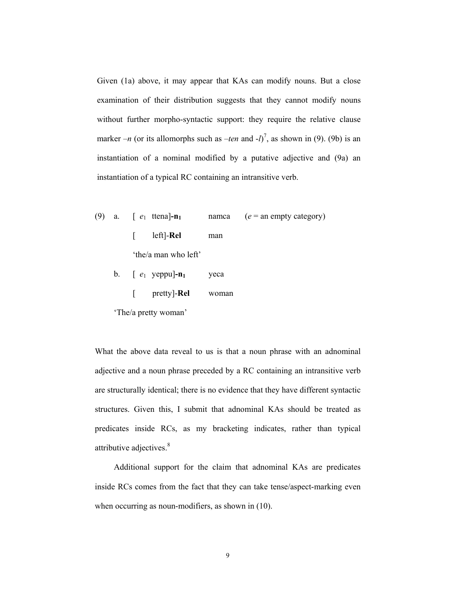Given (1a) above, it may appear that KAs can modify nouns. But a close examination of their distribution suggests that they cannot modify nouns without further morpho-syntactic support: they require the relative clause marker  $-n$  (or its allomorphs such as  $-ten$  and  $-l$ )<sup>7</sup>, as shown in (9). (9b) is an instantiation of a nominal modified by a putative adjective and (9a) an instantiation of a typical RC containing an intransitive verb.

- (9) a.  $\left[ e_1 \text{ then } e_1 \right]$  namca  $(e = \text{an empty category})$  [ left]-**Rel** man 'the/a man who left'
	- b.  $\left[ e_1 \text{ yeppu} \right] \mathbf{n}_1$  yeca [ pretty]-**Rel** woman

'The/a pretty woman'

What the above data reveal to us is that a noun phrase with an adnominal adjective and a noun phrase preceded by a RC containing an intransitive verb are structurally identical; there is no evidence that they have different syntactic structures. Given this, I submit that adnominal KAs should be treated as predicates inside RCs, as my bracketing indicates, rather than typical attributive adjectives.<sup>8</sup>

 Additional support for the claim that adnominal KAs are predicates inside RCs comes from the fact that they can take tense/aspect-marking even when occurring as noun-modifiers, as shown in  $(10)$ .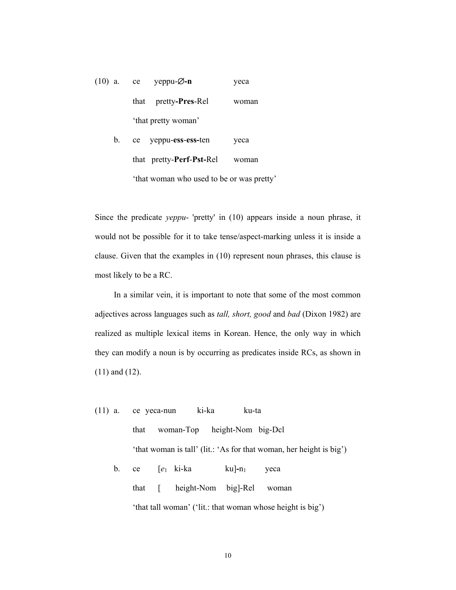| $(10)$ a. | ce yeppu- $\varnothing$ -n    | yeca  |
|-----------|-------------------------------|-------|
|           | that pretty- <b>Pres</b> -Rel | woman |
|           | 'that pretty woman'           |       |

| $\mathbf{b}$ . | ce yeppu-ess-ess-ten                      | yeca |
|----------------|-------------------------------------------|------|
|                | that pretty- <b>Perf-Pst-Rel</b> woman    |      |
|                | 'that woman who used to be or was pretty' |      |

Since the predicate *yeppu*- 'pretty' in (10) appears inside a noun phrase, it would not be possible for it to take tense/aspect-marking unless it is inside a clause. Given that the examples in (10) represent noun phrases, this clause is most likely to be a RC.

 In a similar vein, it is important to note that some of the most common adjectives across languages such as *tall, short, good* and *bad* (Dixon 1982) are realized as multiple lexical items in Korean. Hence, the only way in which they can modify a noun is by occurring as predicates inside RCs, as shown in (11) and (12).

- (11) a. ce yeca-nun ki-ka ku-ta that woman-Top height-Nom big-Dcl 'that woman is tall' (lit.: 'As for that woman, her height is big')
	- b. ce [*e*1 ki-ka ku]**-**n1 yeca that [ height-Nom big]-Rel woman 'that tall woman' ('lit.: that woman whose height is big')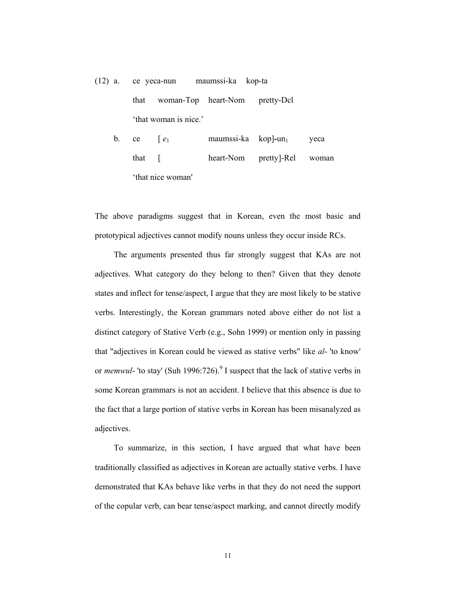(12) a. ce yeca-nun maumssi-ka kop-ta that woman-Top heart-Nom pretty-Dcl 'that woman is nice.'

b. ce  $\begin{bmatrix} e_1 \\ e_2 \end{bmatrix}$  maumssi-ka kop]-un<sub>1</sub> yeca that [ heart-Nom pretty]-Rel woman 'that nice woman'

The above paradigms suggest that in Korean, even the most basic and prototypical adjectives cannot modify nouns unless they occur inside RCs.

 The arguments presented thus far strongly suggest that KAs are not adjectives. What category do they belong to then? Given that they denote states and inflect for tense/aspect, I argue that they are most likely to be stative verbs. Interestingly, the Korean grammars noted above either do not list a distinct category of Stative Verb (e.g., Sohn 1999) or mention only in passing that "adjectives in Korean could be viewed as stative verbs" like *al*- 'to know' or *memwul*- 'to stay' (Suh 1996:726).<sup>9</sup> I suspect that the lack of stative verbs in some Korean grammars is not an accident. I believe that this absence is due to the fact that a large portion of stative verbs in Korean has been misanalyzed as adjectives.

 To summarize, in this section, I have argued that what have been traditionally classified as adjectives in Korean are actually stative verbs. I have demonstrated that KAs behave like verbs in that they do not need the support of the copular verb, can bear tense/aspect marking, and cannot directly modify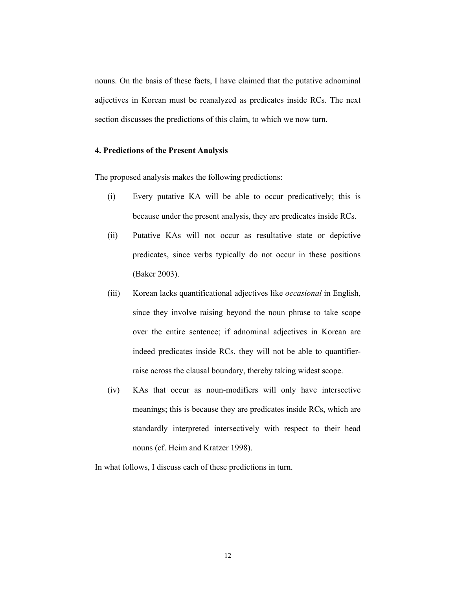nouns. On the basis of these facts, I have claimed that the putative adnominal adjectives in Korean must be reanalyzed as predicates inside RCs. The next section discusses the predictions of this claim, to which we now turn.

#### **4. Predictions of the Present Analysis**

The proposed analysis makes the following predictions:

- (i) Every putative KA will be able to occur predicatively; this is because under the present analysis, they are predicates inside RCs.
- (ii) Putative KAs will not occur as resultative state or depictive predicates, since verbs typically do not occur in these positions (Baker 2003).
- (iii) Korean lacks quantificational adjectives like *occasional* in English, since they involve raising beyond the noun phrase to take scope over the entire sentence; if adnominal adjectives in Korean are indeed predicates inside RCs, they will not be able to quantifierraise across the clausal boundary, thereby taking widest scope.
- (iv) KAs that occur as noun-modifiers will only have intersective meanings; this is because they are predicates inside RCs, which are standardly interpreted intersectively with respect to their head nouns (cf. Heim and Kratzer 1998).

In what follows, I discuss each of these predictions in turn.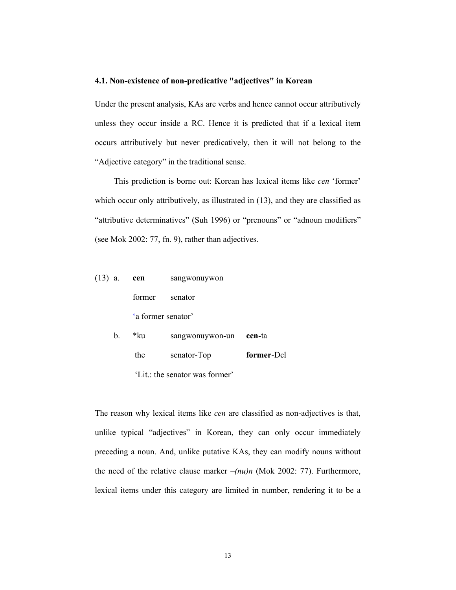#### **4.1. Non-existence of non-predicative "adjectives" in Korean**

Under the present analysis, KAs are verbs and hence cannot occur attributively unless they occur inside a RC. Hence it is predicted that if a lexical item occurs attributively but never predicatively, then it will not belong to the "Adjective category" in the traditional sense.

 This prediction is borne out: Korean has lexical items like *cen* 'former' which occur only attributively, as illustrated in  $(13)$ , and they are classified as "attributive determinatives" (Suh 1996) or "prenouns" or "adnoun modifiers" (see Mok 2002: 77, fn. 9), rather than adjectives.

| $(13)$ a.   | cen                | sangwonuywon    |        |
|-------------|--------------------|-----------------|--------|
|             | former             | senator         |        |
|             | 'a former senator' |                 |        |
| $b_{\cdot}$ | *ku                | sangwonuywon-un | cen-ta |

'Lit.: the senator was former'

the senator-Top **former**-Dcl

The reason why lexical items like *cen* are classified as non-adjectives is that, unlike typical "adjectives" in Korean, they can only occur immediately preceding a noun. And, unlike putative KAs, they can modify nouns without the need of the relative clause marker –*(nu)n* (Mok 2002: 77). Furthermore, lexical items under this category are limited in number, rendering it to be a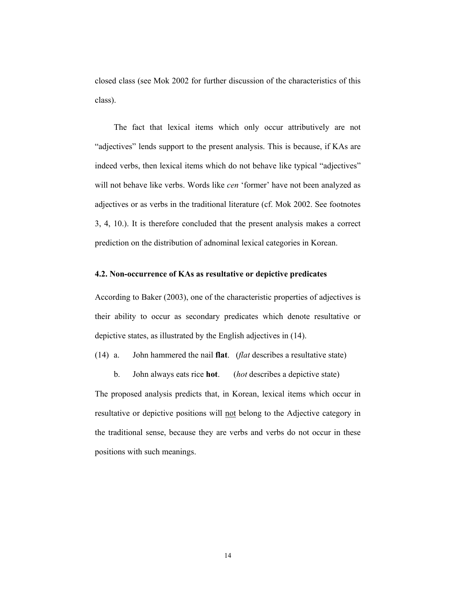closed class (see Mok 2002 for further discussion of the characteristics of this class).

 The fact that lexical items which only occur attributively are not "adjectives" lends support to the present analysis. This is because, if KAs are indeed verbs, then lexical items which do not behave like typical "adjectives" will not behave like verbs. Words like *cen* 'former' have not been analyzed as adjectives or as verbs in the traditional literature (cf. Mok 2002. See footnotes 3, 4, 10.). It is therefore concluded that the present analysis makes a correct prediction on the distribution of adnominal lexical categories in Korean.

#### **4.2. Non-occurrence of KAs as resultative or depictive predicates**

According to Baker (2003), one of the characteristic properties of adjectives is their ability to occur as secondary predicates which denote resultative or depictive states, as illustrated by the English adjectives in (14).

(14) a. John hammered the nail **flat**. (*flat* describes a resultative state)

The proposed analysis predicts that, in Korean, lexical items which occur in resultative or depictive positions will not belong to the Adjective category in the traditional sense, because they are verbs and verbs do not occur in these positions with such meanings.

b. John always eats rice **hot**. (*hot* describes a depictive state)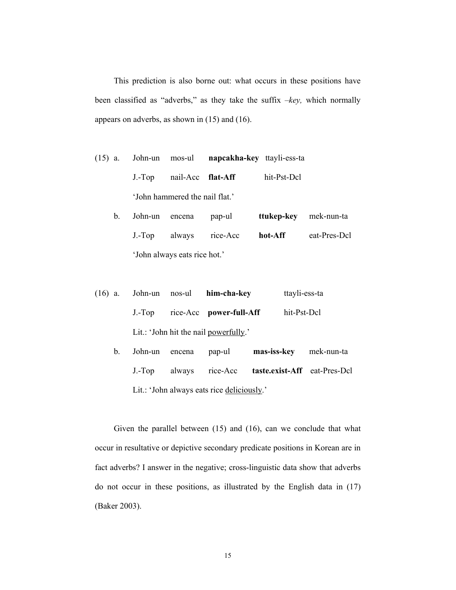This prediction is also borne out: what occurs in these positions have been classified as "adverbs," as they take the suffix –*key,* which normally appears on adverbs, as shown in (15) and (16).

- (15) a. John-un mos-ul **napcakha-key** ttayli-ess-ta J.-Top nail-Acc **flat-Aff** hit-Pst-Dcl 'John hammered the nail flat.'
	- b. John-un encena pap-ul **ttukep-key** mek-nun-ta J.-Top always rice-Acc **hot-Aff** eat-Pres-Dcl 'John always eats rice hot.'
- (16) a. John-un nos-ul **him-cha-key** ttayli-ess-ta J.-Top rice-Acc **power-full-Aff** hit-Pst-Dcl Lit.: 'John hit the nail powerfully.'
	- b. John-un encena pap-ul **mas-iss-key** mek-nun-ta J.-Top always rice-Acc **taste.exist-Aff** eat-Pres-Dcl Lit.: 'John always eats rice deliciously.'

 Given the parallel between (15) and (16), can we conclude that what occur in resultative or depictive secondary predicate positions in Korean are in fact adverbs? I answer in the negative; cross-linguistic data show that adverbs do not occur in these positions, as illustrated by the English data in (17) (Baker 2003).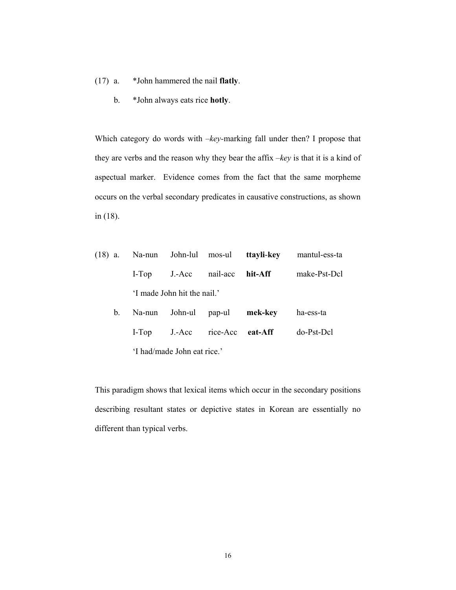- (17) a. \*John hammered the nail **flatly**.
	- b. \*John always eats rice **hotly**.

Which category do words with  $-$ *key*-marking fall under then? I propose that they are verbs and the reason why they bear the affix –*key* is that it is a kind of aspectual marker. Evidence comes from the fact that the same morpheme occurs on the verbal secondary predicates in causative constructions, as shown in (18).

|  |                             |                                            | (18) a. Na-nun John-lul mos-ul <b>ttayli-key</b> mantul-ess-ta |
|--|-----------------------------|--------------------------------------------|----------------------------------------------------------------|
|  |                             | I-Top J.-Acc nail-acc hit-Aff              | make-Pst-Dcl                                                   |
|  | 'I made John hit the nail.' |                                            |                                                                |
|  |                             | b. Na-nun John-ul pap-ul mek-key ha-ess-ta |                                                                |

 I-Top J.-Acc rice-Acc **eat-Aff** do-Pst-Dcl 'I had/made John eat rice.'

This paradigm shows that lexical items which occur in the secondary positions describing resultant states or depictive states in Korean are essentially no different than typical verbs.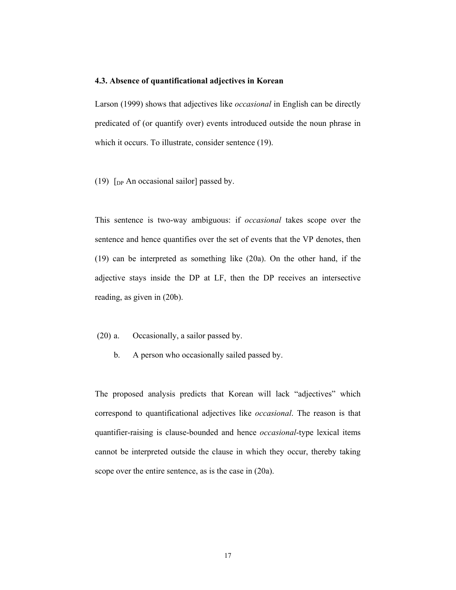#### **4.3. Absence of quantificational adjectives in Korean**

Larson (1999) shows that adjectives like *occasional* in English can be directly predicated of (or quantify over) events introduced outside the noun phrase in which it occurs. To illustrate, consider sentence (19).

(19)  $[p_{\rm P}$  An occasional sailor] passed by.

This sentence is two-way ambiguous: if *occasional* takes scope over the sentence and hence quantifies over the set of events that the VP denotes, then (19) can be interpreted as something like (20a). On the other hand, if the adjective stays inside the DP at LF, then the DP receives an intersective reading, as given in (20b).

- (20) a. Occasionally, a sailor passed by.
	- b. A person who occasionally sailed passed by.

The proposed analysis predicts that Korean will lack "adjectives" which correspond to quantificational adjectives like *occasional*. The reason is that quantifier-raising is clause-bounded and hence *occasional*-type lexical items cannot be interpreted outside the clause in which they occur, thereby taking scope over the entire sentence, as is the case in (20a).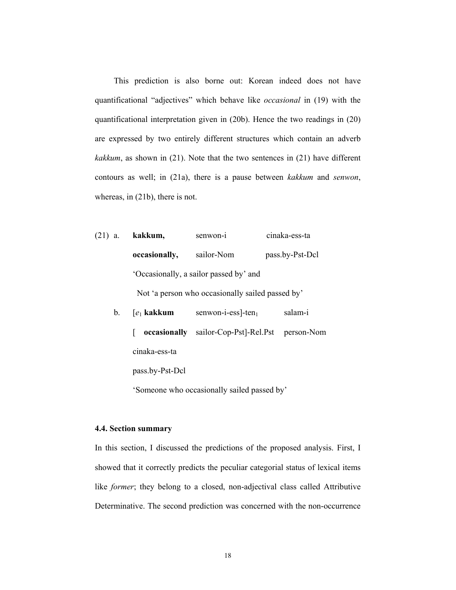This prediction is also borne out: Korean indeed does not have quantificational "adjectives" which behave like *occasional* in (19) with the quantificational interpretation given in (20b). Hence the two readings in (20) are expressed by two entirely different structures which contain an adverb *kakkum*, as shown in (21). Note that the two sentences in (21) have different contours as well; in (21a), there is a pause between *kakkum* and *senwon*, whereas, in (21b), there is not.

(21) a. **kakkum,** senwon-i cinaka-ess-ta **occasionally,** sailor-Nom pass.by-Pst-Dcl 'Occasionally, a sailor passed by' and Not 'a person who occasionally sailed passed by'

|  | b. $[e_1]$ kakkum | senwon-i-ess $]$ -ten                                  | salam-i |
|--|-------------------|--------------------------------------------------------|---------|
|  |                   | <b>occasionally</b> sailor-Cop-Pst]-Rel.Pst person-Nom |         |
|  | cinaka-ess-ta     |                                                        |         |
|  | pass.by-Pst-Dcl   |                                                        |         |

'Someone who occasionally sailed passed by'

#### **4.4. Section summary**

In this section, I discussed the predictions of the proposed analysis. First, I showed that it correctly predicts the peculiar categorial status of lexical items like *former*; they belong to a closed, non-adjectival class called Attributive Determinative. The second prediction was concerned with the non-occurrence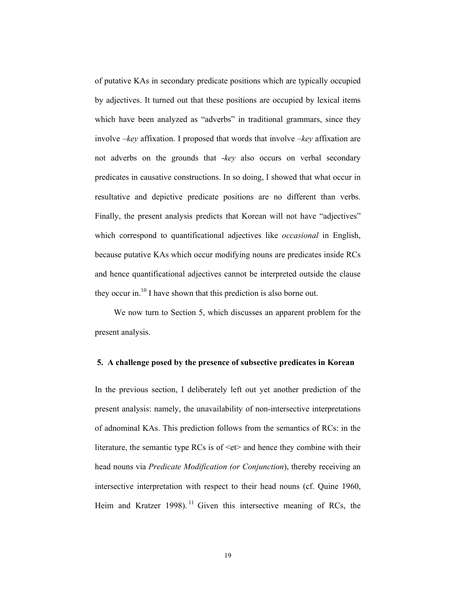of putative KAs in secondary predicate positions which are typically occupied by adjectives. It turned out that these positions are occupied by lexical items which have been analyzed as "adverbs" in traditional grammars, since they involve –*key* affixation. I proposed that words that involve –*key* affixation are not adverbs on the grounds that -*key* also occurs on verbal secondary predicates in causative constructions. In so doing, I showed that what occur in resultative and depictive predicate positions are no different than verbs. Finally, the present analysis predicts that Korean will not have "adjectives" which correspond to quantificational adjectives like *occasional* in English, because putative KAs which occur modifying nouns are predicates inside RCs and hence quantificational adjectives cannot be interpreted outside the clause they occur in.<sup>10</sup> I have shown that this prediction is also borne out.

 We now turn to Section 5, which discusses an apparent problem for the present analysis.

#### **5. A challenge posed by the presence of subsective predicates in Korean**

In the previous section, I deliberately left out yet another prediction of the present analysis: namely, the unavailability of non-intersective interpretations of adnominal KAs. This prediction follows from the semantics of RCs: in the literature, the semantic type RCs is of  $\leq$ et $>$  and hence they combine with their head nouns via *Predicate Modification (or Conjunction*), thereby receiving an intersective interpretation with respect to their head nouns (cf. Quine 1960, Heim and Kratzer 1998).<sup>11</sup> Given this intersective meaning of RCs, the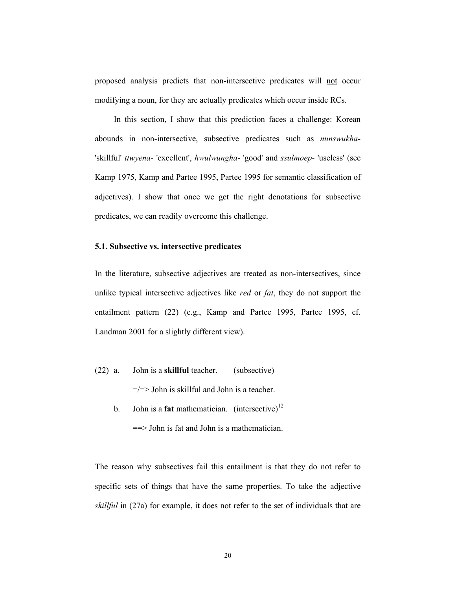proposed analysis predicts that non-intersective predicates will not occur modifying a noun, for they are actually predicates which occur inside RCs.

 In this section, I show that this prediction faces a challenge: Korean abounds in non-intersective, subsective predicates such as *nunswukha-* 'skillful' *ttwyena-* 'excellent', *hwulwungha*- 'good' and *ssulmoep-* 'useless' (see Kamp 1975, Kamp and Partee 1995, Partee 1995 for semantic classification of adjectives). I show that once we get the right denotations for subsective predicates, we can readily overcome this challenge.

# **5.1. Subsective vs. intersective predicates**

In the literature, subsective adjectives are treated as non-intersectives, since unlike typical intersective adjectives like *red* or *fat*, they do not support the entailment pattern (22) (e.g., Kamp and Partee 1995, Partee 1995, cf. Landman 2001 for a slightly different view).

- (22) a. John is a **skillful** teacher. (subsective)  $=$   $=$   $>$  John is skillful and John is a teacher.
	- b. John is a **fat** mathematician. (intersective)<sup>12</sup> ==> John is fat and John is a mathematician.

The reason why subsectives fail this entailment is that they do not refer to specific sets of things that have the same properties. To take the adjective *skillful* in (27a) for example, it does not refer to the set of individuals that are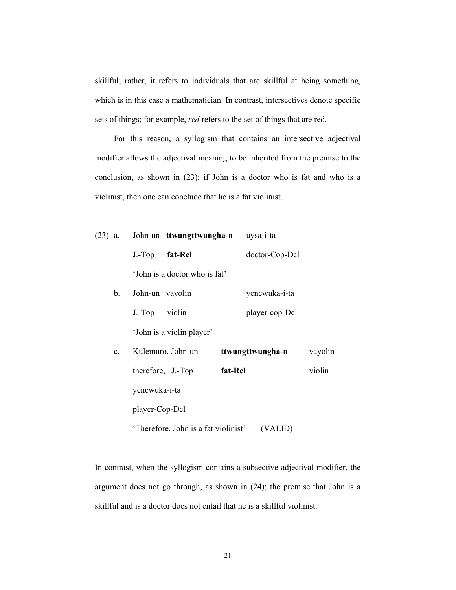skillful; rather, it refers to individuals that are skillful at being something, which is in this case a mathematician. In contrast, intersectives denote specific sets of things; for example, *red* refers to the set of things that are red.

 For this reason, a syllogism that contains an intersective adjectival modifier allows the adjectival meaning to be inherited from the premise to the conclusion, as shown in (23); if John is a doctor who is fat and who is a violinist, then one can conclude that he is a fat violinist.

|                |                                      | (23) a. John-un ttwungttwungha-n uysa-i-ta |         |
|----------------|--------------------------------------|--------------------------------------------|---------|
|                | J.-Top fat-Rel                       | doctor-Cop-Dcl                             |         |
|                | 'John is a doctor who is fat'        |                                            |         |
| $\mathbf{b}$ . | John-un vayolin                      | yencwuka-i-ta                              |         |
|                | J.-Top violin                        | player-cop-Dcl                             |         |
|                | 'John is a violin player'            |                                            |         |
| $\mathbf{c}$ . | Kulemuro, John-un                    | ttwungttwungha-n                           | vayolin |
|                | therefore, J.-Top                    | fat-Rel                                    | violin  |
|                | yencwuka-i-ta                        |                                            |         |
|                | player-Cop-Dcl                       |                                            |         |
|                | 'Therefore, John is a fat violinist' | (VALID)                                    |         |

In contrast, when the syllogism contains a subsective adjectival modifier, the argument does not go through, as shown in (24); the premise that John is a skillful and is a doctor does not entail that he is a skillful violinist.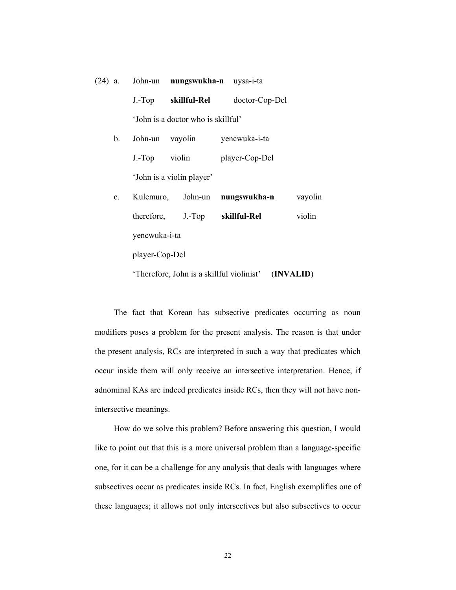|                |               | (24) a. John-un nungswukha-n uysa-i-ta |                                |         |
|----------------|---------------|----------------------------------------|--------------------------------|---------|
|                |               | J.-Top skillful-Rel                    | doctor-Cop-Dcl                 |         |
|                |               | 'John is a doctor who is skillful'     |                                |         |
| b.             |               | John-un vayolin                        | yencwuka-i-ta                  |         |
|                | J.-Top violin |                                        | player-Cop-Dcl                 |         |
|                |               | 'John is a violin player'              |                                |         |
| $\mathbf{c}$ . |               |                                        | Kulemuro, John-un nungswukha-n | vayolin |
|                |               | therefore, J.-Top skillful-Rel         |                                | violin  |
|                |               |                                        |                                |         |

yencwuka-i-ta

player-Cop-Dcl

'Therefore, John is a skillful violinist' (**INVALID**)

 The fact that Korean has subsective predicates occurring as noun modifiers poses a problem for the present analysis. The reason is that under the present analysis, RCs are interpreted in such a way that predicates which occur inside them will only receive an intersective interpretation. Hence, if adnominal KAs are indeed predicates inside RCs, then they will not have nonintersective meanings.

 How do we solve this problem? Before answering this question, I would like to point out that this is a more universal problem than a language-specific one, for it can be a challenge for any analysis that deals with languages where subsectives occur as predicates inside RCs. In fact, English exemplifies one of these languages; it allows not only intersectives but also subsectives to occur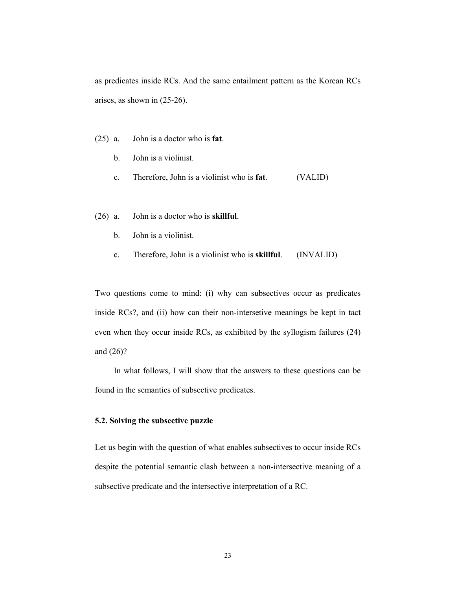as predicates inside RCs. And the same entailment pattern as the Korean RCs arises, as shown in (25-26).

- (25) a. John is a doctor who is **fat**.
	- b. John is a violinist.
	- c. Therefore, John is a violinist who is **fat**. (VALID)
- (26) a. John is a doctor who is **skillful**.
	- b. John is a violinist.
	- c. Therefore, John is a violinist who is **skillful**. (INVALID)

Two questions come to mind: (i) why can subsectives occur as predicates inside RCs?, and (ii) how can their non-intersetive meanings be kept in tact even when they occur inside RCs, as exhibited by the syllogism failures (24) and (26)?

 In what follows, I will show that the answers to these questions can be found in the semantics of subsective predicates.

#### **5.2. Solving the subsective puzzle**

Let us begin with the question of what enables subsectives to occur inside RCs despite the potential semantic clash between a non-intersective meaning of a subsective predicate and the intersective interpretation of a RC.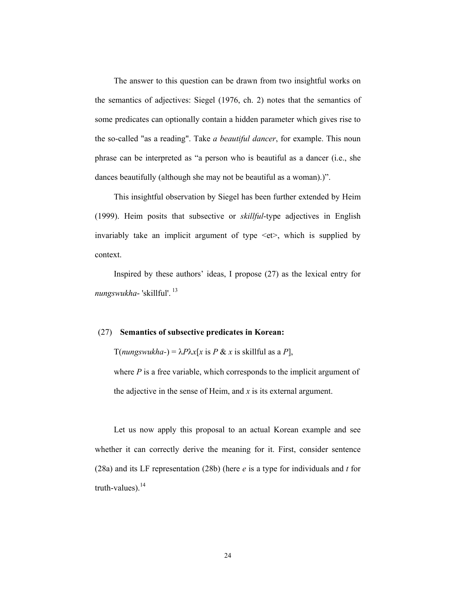The answer to this question can be drawn from two insightful works on the semantics of adjectives: Siegel (1976, ch. 2) notes that the semantics of some predicates can optionally contain a hidden parameter which gives rise to the so-called "as a reading". Take *a beautiful dancer*, for example. This noun phrase can be interpreted as "a person who is beautiful as a dancer (i.e., she dances beautifully (although she may not be beautiful as a woman).)".

 This insightful observation by Siegel has been further extended by Heim (1999). Heim posits that subsective or *skillful*-type adjectives in English invariably take an implicit argument of type <et>, which is supplied by context.

 Inspired by these authors' ideas, I propose (27) as the lexical entry for *nungswukha*- 'skillful'. 13

#### (27) **Semantics of subsective predicates in Korean:**

 $T(numgswukha-) = \lambda P \lambda x[x \text{ is } P \& x \text{ is skillful as a } P],$ 

where *P* is a free variable, which corresponds to the implicit argument of the adjective in the sense of Heim, and *x* is its external argument.

 Let us now apply this proposal to an actual Korean example and see whether it can correctly derive the meaning for it. First, consider sentence (28a) and its LF representation (28b) (here *e* is a type for individuals and *t* for truth-values). $^{14}$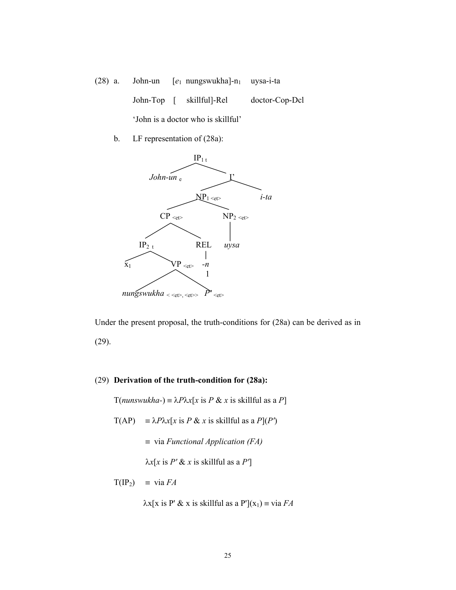(28) a. John-un [e<sub>1</sub> nungswukha]-n<sub>1</sub> uysa-i-ta John-Top [ skillful]-Rel doctor-Cop-Dcl 'John is a doctor who is skillful'

b. LF representation of (28a):



Under the present proposal, the truth-conditions for (28a) can be derived as in (29).

# (29) **Derivation of the truth-condition for (28a):**

 $T(numswukha-) \equiv \lambda P \lambda x[x \text{ is } P \& x \text{ is skillful as a } P]$ 

- $T(AP) = \lambda P \lambda x [x \text{ is } P \& x \text{ is skillful as a } P](P')$ 
	- ≡ via *Functional Application (FA)*

λ*x*[*x* is *P'* & *x* is skillful as a *P'*]

$$
T(\text{IP}_2) \equiv \text{via } FA
$$

 $\lambda x[x \text{ is } P' \& x \text{ is skillful as a } P'](x_1) = \text{via } FA$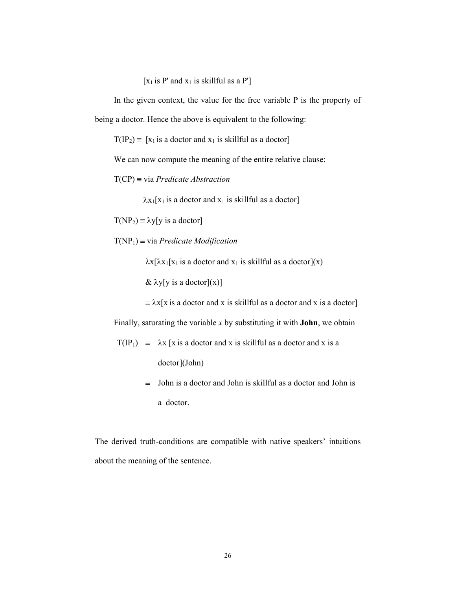[ $x_1$  is P' and  $x_1$  is skillful as a P']

 In the given context, the value for the free variable P is the property of being a doctor. Hence the above is equivalent to the following:

 $T(IP_2) = [x_1 \text{ is a doctor and } x_1 \text{ is skillful as a doctor}]$ 

We can now compute the meaning of the entire relative clause:

T(CP) ≡ via *Predicate Abstraction*

 $\lambda x_1[x_1]$  is a doctor and  $x_1$  is skillful as a doctor

 $T(NP_2) \equiv \lambda y[y \text{ is a doctor}]$ 

T(NP1) ≡ via *Predicate Modification* 

 $\lambda x[\lambda x_1[x_1]$  is a doctor and  $x_1$  is skillful as a doctor](x)

 $\&$   $\lambda$ y[y is a doctor](x)]

 $\equiv \lambda x$ [x is a doctor and x is skillful as a doctor and x is a doctor]

Finally, saturating the variable *x* by substituting it with **John**, we obtain

$$
T(IP_1) = \lambda x [x is a doctor and x is skillful as a doctor and x is adoctor](John)
$$

 $\equiv$  John is a doctor and John is skillful as a doctor and John is a doctor.

The derived truth-conditions are compatible with native speakers' intuitions about the meaning of the sentence.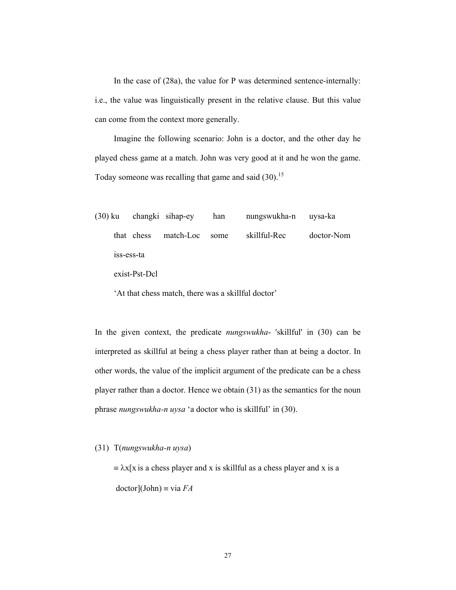In the case of (28a), the value for P was determined sentence-internally: i.e., the value was linguistically present in the relative clause. But this value can come from the context more generally.

 Imagine the following scenario: John is a doctor, and the other day he played chess game at a match. John was very good at it and he won the game. Today someone was recalling that game and said  $(30)$ .<sup>15</sup>

(30) ku changki sihap-ey han nungswukha-n uysa-ka that chess match-Loc some skillful-Rec doctor-Nom iss-ess-ta

exist-Pst-Dcl

'At that chess match, there was a skillful doctor'

In the given context, the predicate *nungswukha*- 'skillful' in (30) can be interpreted as skillful at being a chess player rather than at being a doctor. In other words, the value of the implicit argument of the predicate can be a chess player rather than a doctor. Hence we obtain (31) as the semantics for the noun phrase *nungswukha-n uysa* 'a doctor who is skillful' in (30).

(31) T(*nungswukha-n uysa*)

 $\equiv \lambda x$ [x is a chess player and x is skillful as a chess player and x is a doctor](John) ≡ via *FA*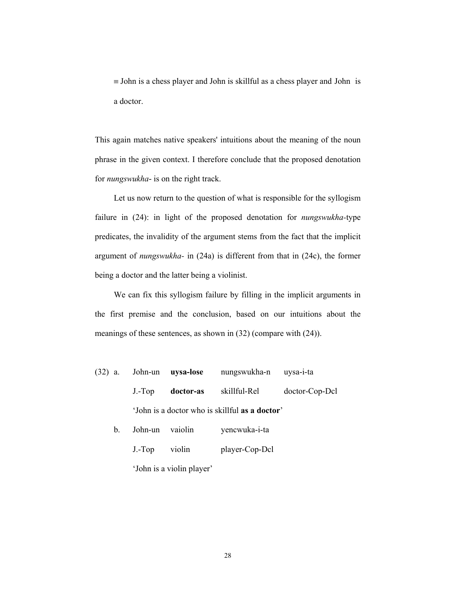$\equiv$  John is a chess player and John is skillful as a chess player and John is a doctor.

This again matches native speakers' intuitions about the meaning of the noun phrase in the given context. I therefore conclude that the proposed denotation for *nungswukha*- is on the right track.

 Let us now return to the question of what is responsible for the syllogism failure in (24): in light of the proposed denotation for *nungswukha-*type predicates, the invalidity of the argument stems from the fact that the implicit argument of *nungswukha-* in (24a) is different from that in (24c), the former being a doctor and the latter being a violinist.

 We can fix this syllogism failure by filling in the implicit arguments in the first premise and the conclusion, based on our intuitions about the meanings of these sentences, as shown in (32) (compare with (24)).

- (32) a. John-un **uysa-lose** nungswukha-n uysa-i-ta J.-Top **doctor-as** skillful-Rel doctor-Cop-Dcl 'John is a doctor who is skillful **as a doctor**'
	- b. John-un vaiolin yencwuka-i-ta J.-Top violin player-Cop-Dcl 'John is a violin player'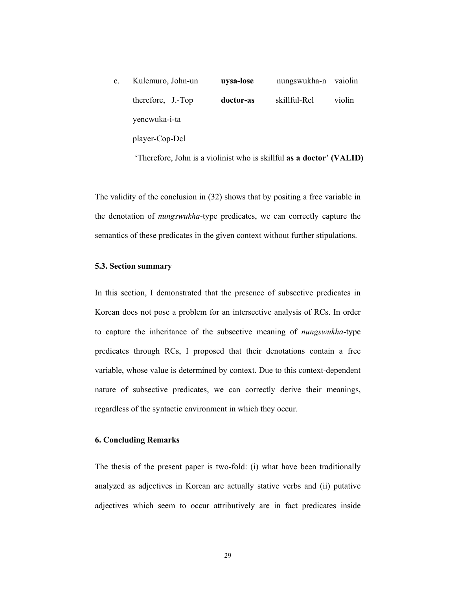| $\mathbf{c}$ . | Kulemuro, John-un | uysa-lose | nungswukha-n vaiolin |        |
|----------------|-------------------|-----------|----------------------|--------|
|                | therefore, J.-Top | doctor-as | skillful-Rel         | violin |
|                | yencwuka-i-ta     |           |                      |        |
|                | player-Cop-Dcl    |           |                      |        |

'Therefore, John is a violinist who is skillful **as a doctor**' **(VALID)** 

The validity of the conclusion in (32) shows that by positing a free variable in the denotation of *nungswukha*-type predicates, we can correctly capture the semantics of these predicates in the given context without further stipulations.

# **5.3. Section summary**

In this section, I demonstrated that the presence of subsective predicates in Korean does not pose a problem for an intersective analysis of RCs. In order to capture the inheritance of the subsective meaning of *nungswukha*-type predicates through RCs, I proposed that their denotations contain a free variable, whose value is determined by context. Due to this context-dependent nature of subsective predicates, we can correctly derive their meanings, regardless of the syntactic environment in which they occur.

# **6. Concluding Remarks**

The thesis of the present paper is two-fold: (i) what have been traditionally analyzed as adjectives in Korean are actually stative verbs and (ii) putative adjectives which seem to occur attributively are in fact predicates inside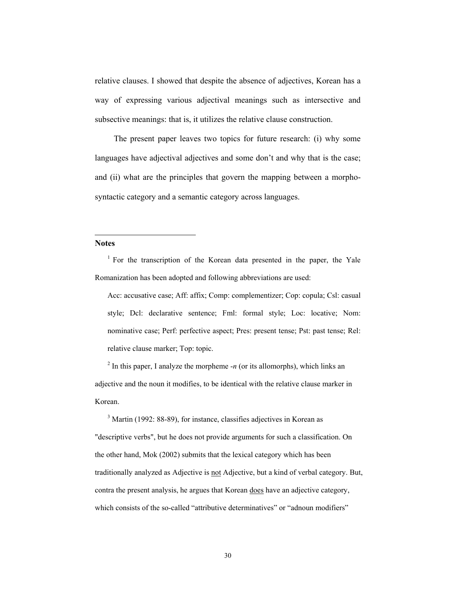relative clauses. I showed that despite the absence of adjectives, Korean has a way of expressing various adjectival meanings such as intersective and subsective meanings: that is, it utilizes the relative clause construction.

 The present paper leaves two topics for future research: (i) why some languages have adjectival adjectives and some don't and why that is the case; and (ii) what are the principles that govern the mapping between a morphosyntactic category and a semantic category across languages.

# **Notes**

l

<sup>1</sup> For the transcription of the Korean data presented in the paper, the Yale Romanization has been adopted and following abbreviations are used:

Acc: accusative case; Aff: affix; Comp: complementizer; Cop: copula; Csl: casual style; Dcl: declarative sentence; Fml: formal style; Loc: locative; Nom: nominative case; Perf: perfective aspect; Pres: present tense; Pst: past tense; Rel: relative clause marker; Top: topic.

 $2^{2}$  In this paper, I analyze the morpheme  $-n$  (or its allomorphs), which links an adjective and the noun it modifies, to be identical with the relative clause marker in Korean.

<sup>3</sup> Martin (1992: 88-89), for instance, classifies adjectives in Korean as "descriptive verbs", but he does not provide arguments for such a classification. On the other hand, Mok (2002) submits that the lexical category which has been traditionally analyzed as Adjective is not Adjective, but a kind of verbal category. But, contra the present analysis, he argues that Korean does have an adjective category, which consists of the so-called "attributive determinatives" or "adnoun modifiers"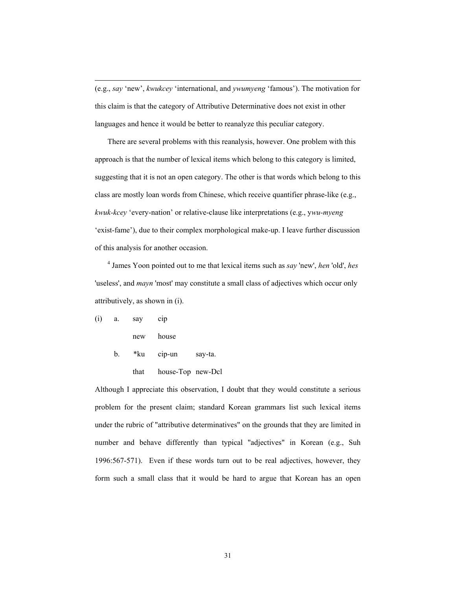(e.g., *say* 'new', *kwukcey* 'international, and *ywumyeng* 'famous'). The motivation for this claim is that the category of Attributive Determinative does not exist in other languages and hence it would be better to reanalyze this peculiar category.

There are several problems with this reanalysis, however. One problem with this approach is that the number of lexical items which belong to this category is limited, suggesting that it is not an open category. The other is that words which belong to this class are mostly loan words from Chinese, which receive quantifier phrase-like (e.g., *kwuk-kcey* 'every-nation' or relative-clause like interpretations (e.g., y*wu-myeng* 'exist-fame'), due to their complex morphological make-up. I leave further discussion of this analysis for another occasion.

4 James Yoon pointed out to me that lexical items such as *say* 'new', *hen* 'old', *hes* 'useless', and *mayn* 'most' may constitute a small class of adjectives which occur only attributively, as shown in (i).

$$
(i) \qquad a. \qquad say \qquad cip
$$

l

new house

b. \*ku cip-un say-ta.

```
 that house-Top new-Dcl
```
Although I appreciate this observation, I doubt that they would constitute a serious problem for the present claim; standard Korean grammars list such lexical items under the rubric of "attributive determinatives" on the grounds that they are limited in number and behave differently than typical "adjectives" in Korean (e.g., Suh 1996:567-571). Even if these words turn out to be real adjectives, however, they form such a small class that it would be hard to argue that Korean has an open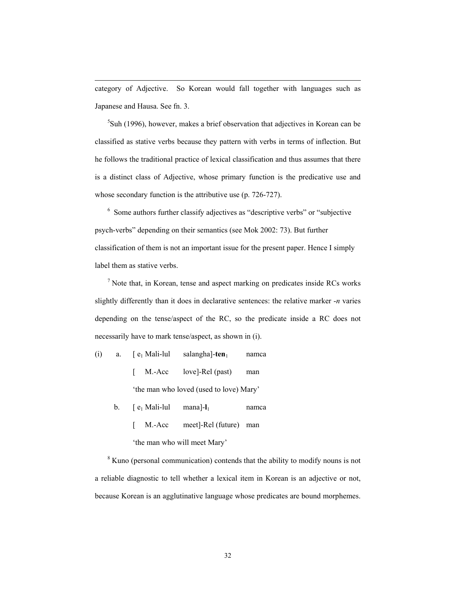category of Adjective. So Korean would fall together with languages such as Japanese and Hausa. See fn. 3.

l

 $5$ Suh (1996), however, makes a brief observation that adjectives in Korean can be classified as stative verbs because they pattern with verbs in terms of inflection. But he follows the traditional practice of lexical classification and thus assumes that there is a distinct class of Adjective, whose primary function is the predicative use and whose secondary function is the attributive use (p. 726-727).

<sup>6</sup> Some authors further classify adjectives as "descriptive verbs" or "subjective psych-verbs" depending on their semantics (see Mok 2002: 73). But further classification of them is not an important issue for the present paper. Hence I simply label them as stative verbs.

 $<sup>7</sup>$  Note that, in Korean, tense and aspect marking on predicates inside RCs works</sup> slightly differently than it does in declarative sentences: the relative marker -*n* varies depending on the tense/aspect of the RC, so the predicate inside a RC does not necessarily have to mark tense/aspect, as shown in (i).

(i) a.  $[e_1 \text{ Mali-lul}$  salangha]- $ten_1$  namca [ M.-Acc love]-Rel (past) man 'the man who loved (used to love) Mary'

- b. [ e1 Mali-lul mana]-**l**1 namca
	- [ M.-Acc meet]-Rel (future) man

'the man who will meet Mary'

<sup>8</sup> Kuno (personal communication) contends that the ability to modify nouns is not a reliable diagnostic to tell whether a lexical item in Korean is an adjective or not, because Korean is an agglutinative language whose predicates are bound morphemes.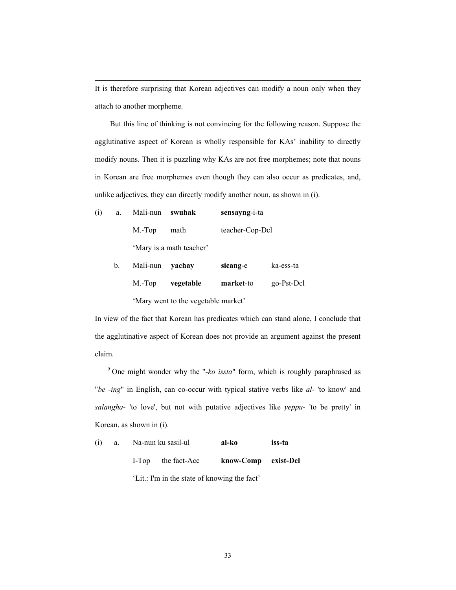It is therefore surprising that Korean adjectives can modify a noun only when they attach to another morpheme.

But this line of thinking is not convincing for the following reason. Suppose the agglutinative aspect of Korean is wholly responsible for KAs' inability to directly modify nouns. Then it is puzzling why KAs are not free morphemes; note that nouns in Korean are free morphemes even though they can also occur as predicates, and, unlike adjectives, they can directly modify another noun, as shown in (i).

| (i) | a. | Mali-nun swuhak          |      | sensayng-i-ta   |
|-----|----|--------------------------|------|-----------------|
|     |    | M.-Top                   | math | teacher-Cop-Dcl |
|     |    | 'Mary is a math teacher' |      |                 |

l

| $b_{1}$ | Mali-nun <b>vachav</b>              |           | sicang-e  | ka-ess-ta  |  |
|---------|-------------------------------------|-----------|-----------|------------|--|
|         | $M.-Top$                            | vegetable | market-to | go-Pst-Dcl |  |
|         | 'Mary went to the vegetable market' |           |           |            |  |

In view of the fact that Korean has predicates which can stand alone, I conclude that the agglutinative aspect of Korean does not provide an argument against the present claim.

9 One might wonder why the "-*ko issta*" form, which is roughly paraphrased as "*be -ing*" in English, can co-occur with typical stative verbs like *al*- 'to know' and *salangha*- 'to love', but not with putative adjectives like *yeppu*- 'to be pretty' in Korean, as shown in (i).

| (i) | a. | Na-nun ku sasil-ul                           | al-ko               | iss-ta |
|-----|----|----------------------------------------------|---------------------|--------|
|     |    | I-Top the fact-Acc                           | know-Comp exist-Del |        |
|     |    | 'Lit.: I'm in the state of knowing the fact' |                     |        |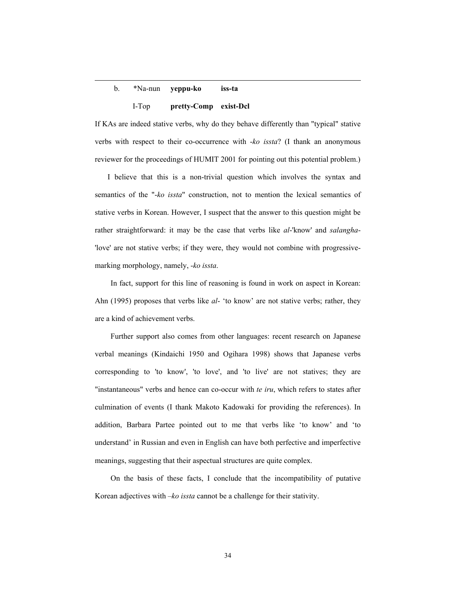# b. \*Na-nun **yeppu-ko iss-ta** I-Top **pretty-Comp exist-Dcl**

l

If KAs are indeed stative verbs, why do they behave differently than "typical" stative verbs with respect to their co-occurrence with -*ko issta*? (I thank an anonymous reviewer for the proceedings of HUMIT 2001 for pointing out this potential problem.)

I believe that this is a non-trivial question which involves the syntax and semantics of the "-*ko issta*" construction, not to mention the lexical semantics of stative verbs in Korean. However, I suspect that the answer to this question might be rather straightforward: it may be the case that verbs like *al*-'know' and *salangha*- 'love' are not stative verbs; if they were, they would not combine with progressivemarking morphology, namely, -*ko issta*.

In fact, support for this line of reasoning is found in work on aspect in Korean: Ahn (1995) proposes that verbs like *al*- 'to know' are not stative verbs; rather, they are a kind of achievement verbs.

Further support also comes from other languages: recent research on Japanese verbal meanings (Kindaichi 1950 and Ogihara 1998) shows that Japanese verbs corresponding to 'to know', 'to love', and 'to live' are not statives; they are "instantaneous" verbs and hence can co-occur with *te iru*, which refers to states after culmination of events (I thank Makoto Kadowaki for providing the references). In addition, Barbara Partee pointed out to me that verbs like 'to know' and 'to understand' in Russian and even in English can have both perfective and imperfective meanings, suggesting that their aspectual structures are quite complex.

On the basis of these facts, I conclude that the incompatibility of putative Korean adjectives with –*ko issta* cannot be a challenge for their stativity.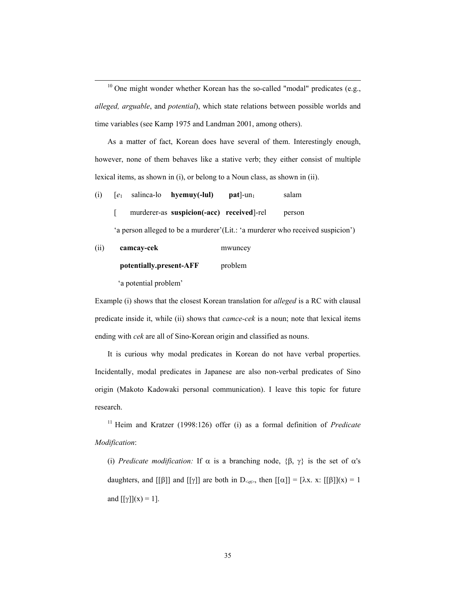$10$  One might wonder whether Korean has the so-called "modal" predicates (e.g., *alleged, arguable*, and *potential*), which state relations between possible worlds and time variables (see Kamp 1975 and Landman 2001, among others).

As a matter of fact, Korean does have several of them. Interestingly enough, however, none of them behaves like a stative verb; they either consist of multiple lexical items, as shown in (i), or belong to a Noun class, as shown in (ii).

- (i)  $[e_1$  salinca-lo **hyemuy(-lul)** pat $]$ -un<sub>1</sub> salam
	- [ murderer-as **suspicion(-acc) received**]-rel person

'a person alleged to be a murderer'(Lit.: 'a murderer who received suspicion')

(ii) **camcay-cek** mwuncey

**potentially.present-AFF** problem

'a potential problem'

Example (i) shows that the closest Korean translation for *alleged* is a RC with clausal predicate inside it, while (ii) shows that *camce-cek* is a noun; note that lexical items ending with *cek* are all of Sino-Korean origin and classified as nouns.

It is curious why modal predicates in Korean do not have verbal properties. Incidentally, modal predicates in Japanese are also non-verbal predicates of Sino origin (Makoto Kadowaki personal communication). I leave this topic for future research.

11 Heim and Kratzer (1998:126) offer (i) as a formal definition of *Predicate Modification*:

(i) *Predicate modification:* If  $\alpha$  is a branching node,  $\{\beta, \gamma\}$  is the set of  $\alpha$ 's daughters, and [[β]] and [[γ]] are both in D<sub><et></sub>, then  $[(\alpha)] = [\lambda x, x: [[\beta]](x) = 1$ and  $[[\gamma]](x) = 1$ ].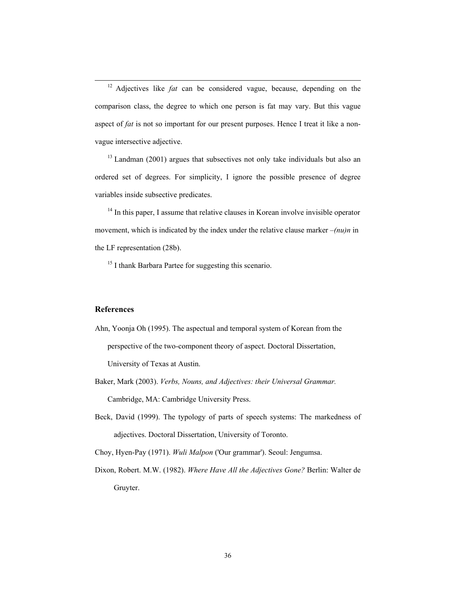12 Adjectives like *fat* can be considered vague, because, depending on the comparison class, the degree to which one person is fat may vary. But this vague aspect of *fat* is not so important for our present purposes. Hence I treat it like a nonvague intersective adjective.

 $13$  Landman (2001) argues that subsectives not only take individuals but also an ordered set of degrees. For simplicity, I ignore the possible presence of degree variables inside subsective predicates.

<sup>14</sup> In this paper, I assume that relative clauses in Korean involve invisible operator movement, which is indicated by the index under the relative clause marker –*(nu)n* in the LF representation (28b).

<sup>15</sup> I thank Barbara Partee for suggesting this scenario.

#### **References**

- Ahn, Yoonja Oh (1995). The aspectual and temporal system of Korean from the perspective of the two-component theory of aspect. Doctoral Dissertation, University of Texas at Austin.
- Baker, Mark (2003). *Verbs, Nouns, and Adjectives: their Universal Grammar.* Cambridge, MA: Cambridge University Press.
- Beck, David (1999). The typology of parts of speech systems: The markedness of adjectives. Doctoral Dissertation, University of Toronto.

Choy, Hyen-Pay (1971). *Wuli Malpon* ('Our grammar'). Seoul: Jengumsa.

Dixon, Robert. M.W. (1982). *Where Have All the Adjectives Gone?* Berlin: Walter de Gruyter.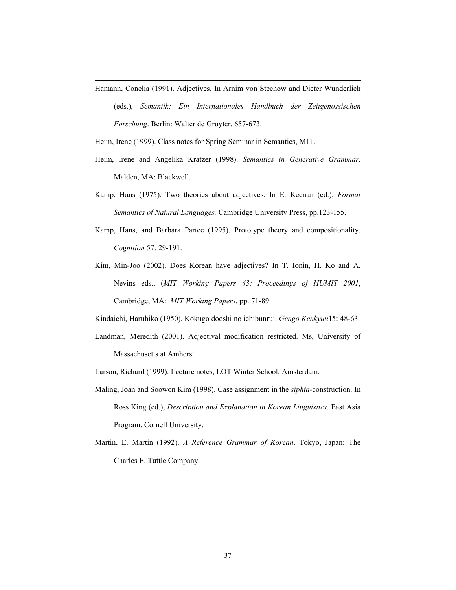Hamann, Conelia (1991). Adjectives. In Arnim von Stechow and Dieter Wunderlich

(eds.), *Semantik: Ein Internationales Handbuch der Zeitgenossischen Forschung*. Berlin: Walter de Gruyter. 657-673.

Heim, Irene (1999). Class notes for Spring Seminar in Semantics, MIT.

l

- Heim, Irene and Angelika Kratzer (1998). *Semantics in Generative Grammar*. Malden, MA: Blackwell.
- Kamp, Hans (1975). Two theories about adjectives. In E. Keenan (ed.), *Formal Semantics of Natural Languages,* Cambridge University Press, pp.123-155.
- Kamp, Hans, and Barbara Partee (1995). Prototype theory and compositionality. *Cognition* 57: 29-191.
- Kim, Min-Joo (2002). Does Korean have adjectives? In T. Ionin, H. Ko and A. Nevins eds., (*MIT Working Papers 43: Proceedings of HUMIT 2001*, Cambridge, MA: *MIT Working Papers*, pp. 71-89.
- Kindaichi, Haruhiko (1950). Kokugo dooshi no ichibunrui. *Gengo Kenkyuu*15: 48-63.
- Landman, Meredith (2001). Adjectival modification restricted. Ms, University of Massachusetts at Amherst.
- Larson, Richard (1999). Lecture notes, LOT Winter School, Amsterdam.
- Maling, Joan and Soowon Kim (1998). Case assignment in the *siphta*-construction. In Ross King (ed.), *Description and Explanation in Korean Linguistics*. East Asia Program, Cornell University.
- Martin, E. Martin (1992). *A Reference Grammar of Korean*. Tokyo, Japan: The Charles E. Tuttle Company.